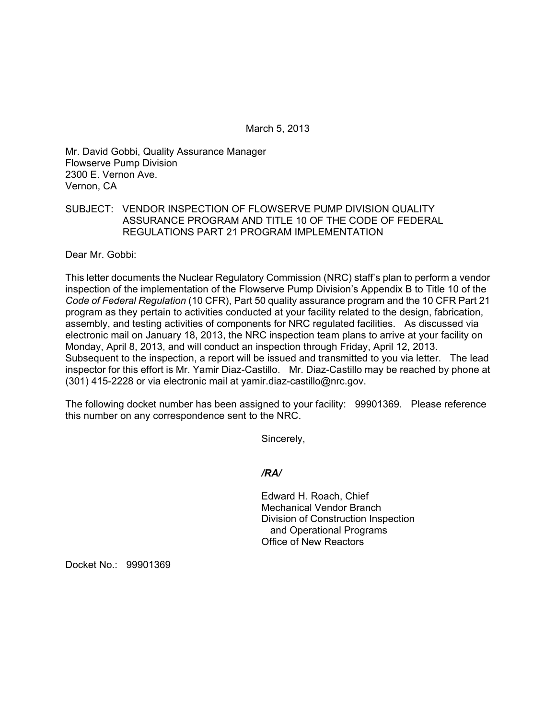March 5, 2013

Mr. David Gobbi, Quality Assurance Manager Flowserve Pump Division 2300 E. Vernon Ave. Vernon, CA

# SUBJECT: VENDOR INSPECTION OF FLOWSERVE PUMP DIVISION QUALITY ASSURANCE PROGRAM AND TITLE 10 OF THE CODE OF FEDERAL REGULATIONS PART 21 PROGRAM IMPLEMENTATION

Dear Mr. Gobbi:

This letter documents the Nuclear Regulatory Commission (NRC) staff's plan to perform a vendor inspection of the implementation of the Flowserve Pump Division's Appendix B to Title 10 of the *Code of Federal Regulation* (10 CFR), Part 50 quality assurance program and the 10 CFR Part 21 program as they pertain to activities conducted at your facility related to the design, fabrication, assembly, and testing activities of components for NRC regulated facilities. As discussed via electronic mail on January 18, 2013, the NRC inspection team plans to arrive at your facility on Monday, April 8, 2013, and will conduct an inspection through Friday, April 12, 2013. Subsequent to the inspection, a report will be issued and transmitted to you via letter. The lead inspector for this effort is Mr. Yamir Diaz-Castillo. Mr. Diaz-Castillo may be reached by phone at (301) 415-2228 or via electronic mail at yamir.diaz-castillo@nrc.gov.

The following docket number has been assigned to your facility: 99901369. Please reference this number on any correspondence sent to the NRC.

Sincerely,

#### */RA/*

Edward H. Roach, Chief Mechanical Vendor Branch Division of Construction Inspection and Operational Programs Office of New Reactors

Docket No.: 99901369